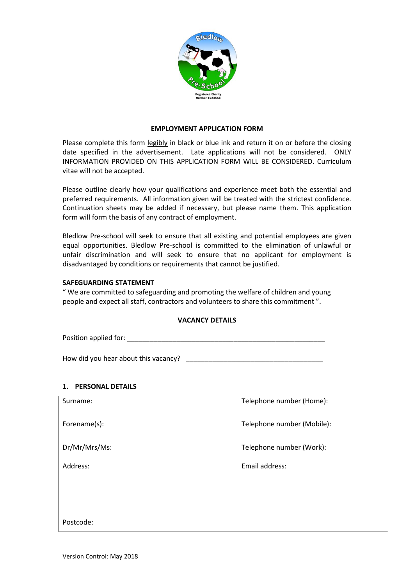

#### **EMPLOYMENT APPLICATION FORM**

Please complete this form legibly in black or blue ink and return it on or before the closing date specified in the advertisement. Late applications will not be considered. ONLY INFORMATION PROVIDED ON THIS APPLICATION FORM WILL BE CONSIDERED. Curriculum vitae will not be accepted.

Please outline clearly how your qualifications and experience meet both the essential and preferred requirements. All information given will be treated with the strictest confidence. Continuation sheets may be added if necessary, but please name them. This application form will form the basis of any contract of employment.

Bledlow Pre-school will seek to ensure that all existing and potential employees are given equal opportunities. Bledlow Pre-school is committed to the elimination of unlawful or unfair discrimination and will seek to ensure that no applicant for employment is disadvantaged by conditions or requirements that cannot be justified.

#### **SAFEGUARDING STATEMENT**

" We are committed to safeguarding and promoting the welfare of children and young people and expect all staff, contractors and volunteers to share this commitment ".

### **VACANCY DETAILS**

Position applied for:

How did you hear about this vacancy? The state of the state of the state of the state of the state of the state of the state of the state of the state of the state of the state of the state of the state of the state of the

### **1. PERSONAL DETAILS**

| Surname:      | Telephone number (Home):   |
|---------------|----------------------------|
| Forename(s):  | Telephone number (Mobile): |
| Dr/Mr/Mrs/Ms: | Telephone number (Work):   |
| Address:      | Email address:             |
|               |                            |
|               |                            |
| Postcode:     |                            |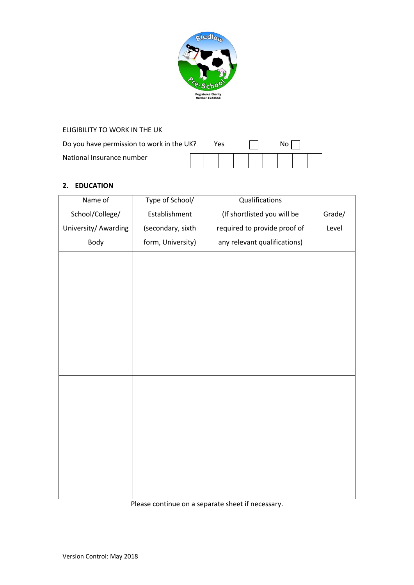

| ELIGIBILITY TO WORK IN THE UK             |  |  |     |  |  |  |     |  |  |
|-------------------------------------------|--|--|-----|--|--|--|-----|--|--|
| Do you have permission to work in the UK? |  |  | Yes |  |  |  | NO. |  |  |
| National Insurance number                 |  |  |     |  |  |  |     |  |  |

# **2. EDUCATION**

| Name of              | Type of School/   | Qualifications               |        |
|----------------------|-------------------|------------------------------|--------|
| School/College/      | Establishment     | (If shortlisted you will be  | Grade/ |
| University/ Awarding | (secondary, sixth | required to provide proof of | Level  |
| Body                 | form, University) | any relevant qualifications) |        |
|                      |                   |                              |        |
|                      |                   |                              |        |
|                      |                   |                              |        |
|                      |                   |                              |        |
|                      |                   |                              |        |
|                      |                   |                              |        |
|                      |                   |                              |        |
|                      |                   |                              |        |
|                      |                   |                              |        |
|                      |                   |                              |        |
|                      |                   |                              |        |
|                      |                   |                              |        |
|                      |                   |                              |        |
|                      |                   |                              |        |
|                      |                   |                              |        |
|                      |                   |                              |        |

Please continue on a separate sheet if necessary.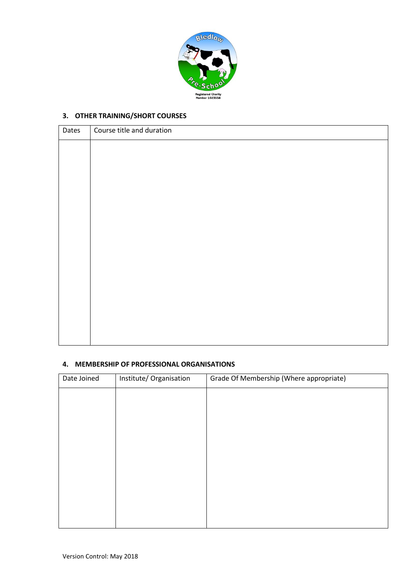

# **3. OTHER TRAINING/SHORT COURSES**

| Dates | Course title and duration |
|-------|---------------------------|
|       |                           |
|       |                           |
|       |                           |
|       |                           |
|       |                           |
|       |                           |
|       |                           |
|       |                           |
|       |                           |
|       |                           |
|       |                           |
|       |                           |
|       |                           |
|       |                           |
|       |                           |

## **4. MEMBERSHIP OF PROFESSIONAL ORGANISATIONS**

| Date Joined | Institute/ Organisation | Grade Of Membership (Where appropriate) |
|-------------|-------------------------|-----------------------------------------|
|             |                         |                                         |
|             |                         |                                         |
|             |                         |                                         |
|             |                         |                                         |
|             |                         |                                         |
|             |                         |                                         |
|             |                         |                                         |
|             |                         |                                         |
|             |                         |                                         |
|             |                         |                                         |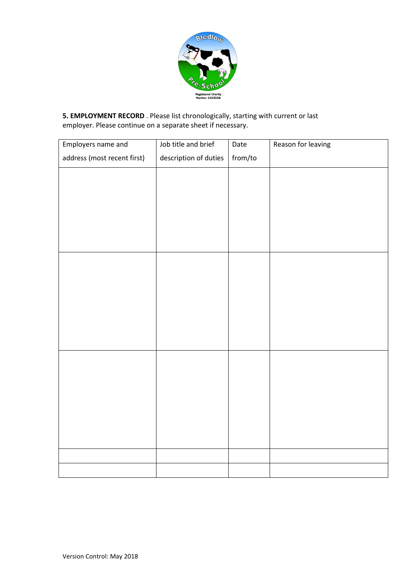

**5. EMPLOYMENT RECORD** . Please list chronologically, starting with current or last employer. Please continue on a separate sheet if necessary.

| Employers name and          | Job title and brief   | Date    | Reason for leaving |
|-----------------------------|-----------------------|---------|--------------------|
| address (most recent first) | description of duties | from/to |                    |
|                             |                       |         |                    |
|                             |                       |         |                    |
|                             |                       |         |                    |
|                             |                       |         |                    |
|                             |                       |         |                    |
|                             |                       |         |                    |
|                             |                       |         |                    |
|                             |                       |         |                    |
|                             |                       |         |                    |
|                             |                       |         |                    |
|                             |                       |         |                    |
|                             |                       |         |                    |
|                             |                       |         |                    |
|                             |                       |         |                    |
|                             |                       |         |                    |
|                             |                       |         |                    |
|                             |                       |         |                    |
|                             |                       |         |                    |
|                             |                       |         |                    |
|                             |                       |         |                    |
|                             |                       |         |                    |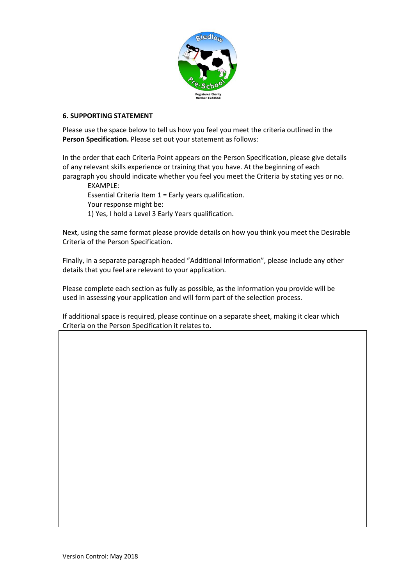

## **6. SUPPORTING STATEMENT**

Please use the space below to tell us how you feel you meet the criteria outlined in the **Person Specification.** Please set out your statement as follows:

In the order that each Criteria Point appears on the Person Specification, please give details of any relevant skills experience or training that you have. At the beginning of each paragraph you should indicate whether you feel you meet the Criteria by stating yes or no.

EXAMPLE:

Essential Criteria Item 1 = Early years qualification. Your response might be: 1) Yes, I hold a Level 3 Early Years qualification.

Next, using the same format please provide details on how you think you meet the Desirable Criteria of the Person Specification.

Finally, in a separate paragraph headed "Additional Information", please include any other details that you feel are relevant to your application.

Please complete each section as fully as possible, as the information you provide will be used in assessing your application and will form part of the selection process.

If additional space is required, please continue on a separate sheet, making it clear which Criteria on the Person Specification it relates to.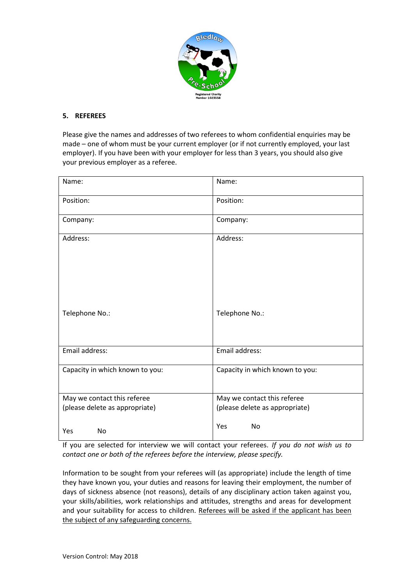

## **5. REFEREES**

Please give the names and addresses of two referees to whom confidential enquiries may be made – one of whom must be your current employer (or if not currently employed, your last employer). If you have been with your employer for less than 3 years, you should also give your previous employer as a referee.

| Name:                           | Name:                           |
|---------------------------------|---------------------------------|
| Position:                       | Position:                       |
| Company:                        | Company:                        |
| Address:                        | Address:                        |
| Telephone No.:                  | Telephone No.:                  |
| Email address:                  | Email address:                  |
| Capacity in which known to you: | Capacity in which known to you: |
| May we contact this referee     | May we contact this referee     |
| (please delete as appropriate)  | (please delete as appropriate)  |
| <b>No</b><br>Yes                | Yes<br>No                       |

If you are selected for interview we will contact your referees. *If you do not wish us to contact one or both of the referees before the interview, please specify.* 

Information to be sought from your referees will (as appropriate) include the length of time they have known you, your duties and reasons for leaving their employment, the number of days of sickness absence (not reasons), details of any disciplinary action taken against you, your skills/abilities, work relationships and attitudes, strengths and areas for development and your suitability for access to children. Referees will be asked if the applicant has been the subject of any safeguarding concerns.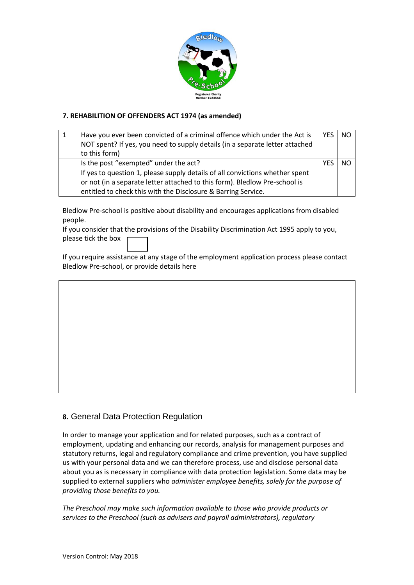

# **7. REHABILITION OF OFFENDERS ACT 1974 (as amended)**

| Have you ever been convicted of a criminal offence which under the Act is    | <b>YES</b> | NO. |
|------------------------------------------------------------------------------|------------|-----|
| NOT spent? If yes, you need to supply details (in a separate letter attached |            |     |
| to this form)                                                                |            |     |
| Is the post "exempted" under the act?                                        |            |     |
| If yes to question 1, please supply details of all convictions whether spent |            |     |
| or not (in a separate letter attached to this form). Bledlow Pre-school is   |            |     |
| entitled to check this with the Disclosure & Barring Service.                |            |     |

Bledlow Pre-school is positive about disability and encourages applications from disabled people.

If you consider that the provisions of the Disability Discrimination Act 1995 apply to you, please tick the box

If you require assistance at any stage of the employment application process please contact Bledlow Pre-school, or provide details here

# **8.** General Data Protection Regulation

In order to manage your application and for related purposes, such as a contract of employment, updating and enhancing our records, analysis for management purposes and statutory returns, legal and regulatory compliance and crime prevention, you have supplied us with your personal data and we can therefore process, use and disclose personal data about you as is necessary in compliance with data protection legislation. Some data may be supplied to external suppliers who *administer employee benefits, solely for the purpose of providing those benefits to you.*

*The Preschool may make such information available to those who provide products or services to the Preschool (such as advisers and payroll administrators), regulatory*